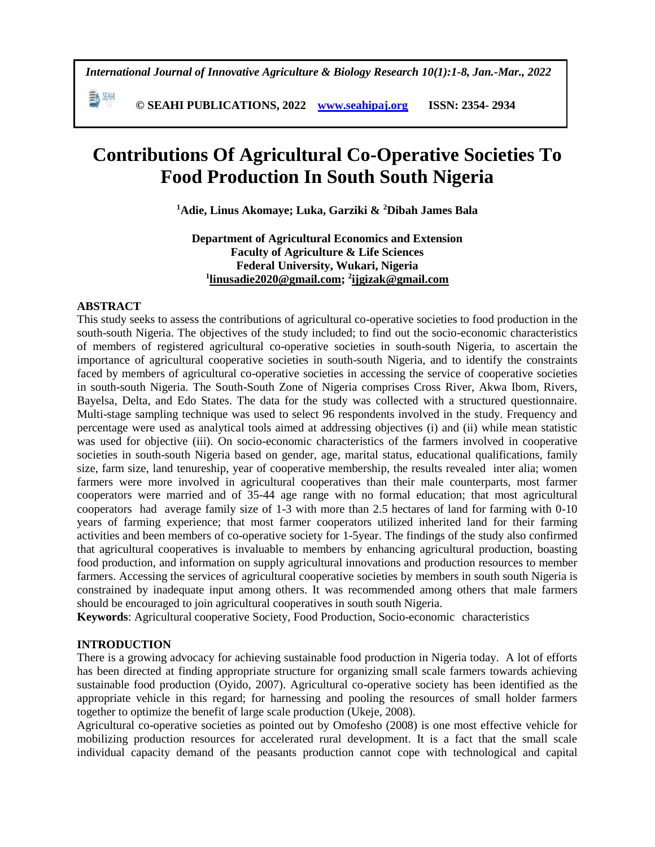**© SEAHI PUBLICATIONS, 2022 [www.seahipaj.org](http://www.seahipaj.org/) ISSN: 2354- 2934**

# **Contributions Of Agricultural Co-Operative Societies To Food Production In South South Nigeria**

**<sup>1</sup>Adie, Linus Akomaye; Luka, Garziki & <sup>2</sup>Dibah James Bala**

**Department of Agricultural Economics and Extension Faculty of Agriculture & Life Sciences Federal University, Wukari, Nigeria 1 [linusadie2020@gmail.com;](mailto:linusadie2020@gmail.com) <sup>2</sup> [ijgizak@gmail.com](mailto:ijgizak@gmail.com)**

### **ABSTRACT**

副洲

This study seeks to assess the contributions of agricultural co-operative societies to food production in the south-south Nigeria. The objectives of the study included; to find out the socio-economic characteristics of members of registered agricultural co-operative societies in south-south Nigeria, to ascertain the importance of agricultural cooperative societies in south-south Nigeria, and to identify the constraints faced by members of agricultural co-operative societies in accessing the service of cooperative societies in south-south Nigeria. The South-South Zone of Nigeria comprises Cross River, Akwa Ibom, Rivers, Bayelsa, Delta, and Edo States. The data for the study was collected with a structured questionnaire. Multi-stage sampling technique was used to select 96 respondents involved in the study. Frequency and percentage were used as analytical tools aimed at addressing objectives (i) and (ii) while mean statistic was used for objective (iii). On socio-economic characteristics of the farmers involved in cooperative societies in south-south Nigeria based on gender, age, marital status, educational qualifications, family size, farm size, land tenureship, year of cooperative membership, the results revealed inter alia; women farmers were more involved in agricultural cooperatives than their male counterparts, most farmer cooperators were married and of 35-44 age range with no formal education; that most agricultural cooperators had average family size of 1-3 with more than 2.5 hectares of land for farming with 0-10 years of farming experience; that most farmer cooperators utilized inherited land for their farming activities and been members of co-operative society for 1-5year. The findings of the study also confirmed that agricultural cooperatives is invaluable to members by enhancing agricultural production, boasting food production, and information on supply agricultural innovations and production resources to member farmers. Accessing the services of agricultural cooperative societies by members in south south Nigeria is constrained by inadequate input among others. It was recommended among others that male farmers should be encouraged to join agricultural cooperatives in south south Nigeria.

**Keywords**: Agricultural cooperative Society, Food Production, Socio-economic characteristics

### **INTRODUCTION**

There is a growing advocacy for achieving sustainable food production in Nigeria today. A lot of efforts has been directed at finding appropriate structure for organizing small scale farmers towards achieving sustainable food production (Oyido, 2007). Agricultural co-operative society has been identified as the appropriate vehicle in this regard; for harnessing and pooling the resources of small holder farmers together to optimize the benefit of large scale production (Ukeje, 2008).

Agricultural co-operative societies as pointed out by Omofesho (2008) is one most effective vehicle for mobilizing production resources for accelerated rural development. It is a fact that the small scale individual capacity demand of the peasants production cannot cope with technological and capital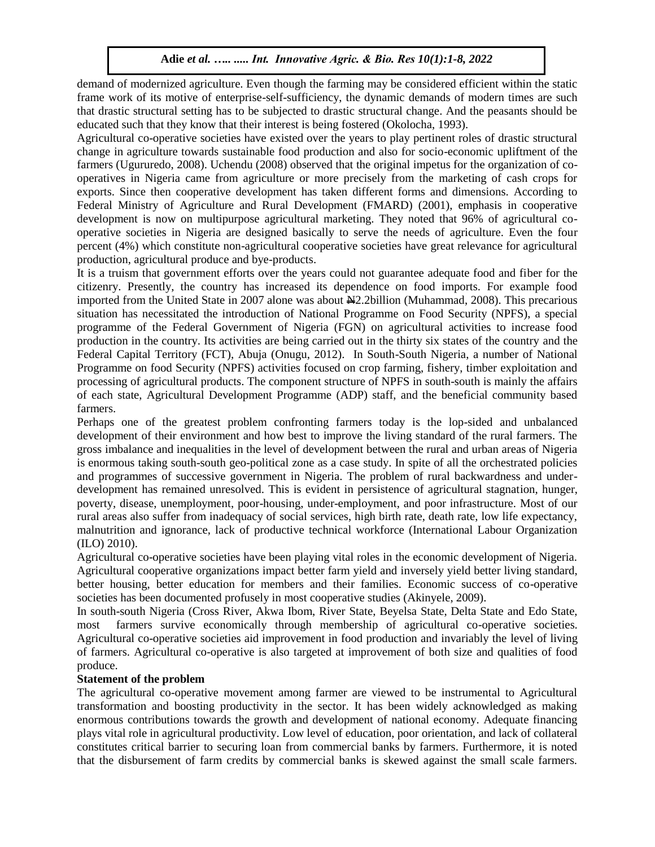demand of modernized agriculture. Even though the farming may be considered efficient within the static frame work of its motive of enterprise-self-sufficiency, the dynamic demands of modern times are such that drastic structural setting has to be subjected to drastic structural change. And the peasants should be educated such that they know that their interest is being fostered (Okolocha, 1993).

Agricultural co-operative societies have existed over the years to play pertinent roles of drastic structural change in agriculture towards sustainable food production and also for socio-economic upliftment of the farmers (Ugururedo, 2008). Uchendu (2008) observed that the original impetus for the organization of cooperatives in Nigeria came from agriculture or more precisely from the marketing of cash crops for exports. Since then cooperative development has taken different forms and dimensions. According to Federal Ministry of Agriculture and Rural Development (FMARD) (2001), emphasis in cooperative development is now on multipurpose agricultural marketing. They noted that 96% of agricultural cooperative societies in Nigeria are designed basically to serve the needs of agriculture. Even the four percent (4%) which constitute non-agricultural cooperative societies have great relevance for agricultural production, agricultural produce and bye-products.

It is a truism that government efforts over the years could not guarantee adequate food and fiber for the citizenry. Presently, the country has increased its dependence on food imports. For example food imported from the United State in 2007 alone was about  $\frac{1}{2}$ . 2billion (Muhammad, 2008). This precarious situation has necessitated the introduction of National Programme on Food Security (NPFS), a special programme of the Federal Government of Nigeria (FGN) on agricultural activities to increase food production in the country. Its activities are being carried out in the thirty six states of the country and the Federal Capital Territory (FCT), Abuja (Onugu, 2012). In South-South Nigeria, a number of National Programme on food Security (NPFS) activities focused on crop farming, fishery, timber exploitation and processing of agricultural products. The component structure of NPFS in south-south is mainly the affairs of each state, Agricultural Development Programme (ADP) staff, and the beneficial community based farmers.

Perhaps one of the greatest problem confronting farmers today is the lop-sided and unbalanced development of their environment and how best to improve the living standard of the rural farmers. The gross imbalance and inequalities in the level of development between the rural and urban areas of Nigeria is enormous taking south-south geo-political zone as a case study. In spite of all the orchestrated policies and programmes of successive government in Nigeria. The problem of rural backwardness and underdevelopment has remained unresolved. This is evident in persistence of agricultural stagnation, hunger, poverty, disease, unemployment, poor-housing, under-employment, and poor infrastructure. Most of our rural areas also suffer from inadequacy of social services, high birth rate, death rate, low life expectancy, malnutrition and ignorance, lack of productive technical workforce (International Labour Organization (ILO) 2010).

Agricultural co-operative societies have been playing vital roles in the economic development of Nigeria. Agricultural cooperative organizations impact better farm yield and inversely yield better living standard, better housing, better education for members and their families. Economic success of co-operative societies has been documented profusely in most cooperative studies (Akinyele, 2009).

In south-south Nigeria (Cross River, Akwa Ibom, River State, Beyelsa State, Delta State and Edo State, most farmers survive economically through membership of agricultural co-operative societies. Agricultural co-operative societies aid improvement in food production and invariably the level of living of farmers. Agricultural co-operative is also targeted at improvement of both size and qualities of food produce.

### **Statement of the problem**

The agricultural co-operative movement among farmer are viewed to be instrumental to Agricultural transformation and boosting productivity in the sector. It has been widely acknowledged as making enormous contributions towards the growth and development of national economy. Adequate financing plays vital role in agricultural productivity. Low level of education, poor orientation, and lack of collateral constitutes critical barrier to securing loan from commercial banks by farmers. Furthermore, it is noted that the disbursement of farm credits by commercial banks is skewed against the small scale farmers.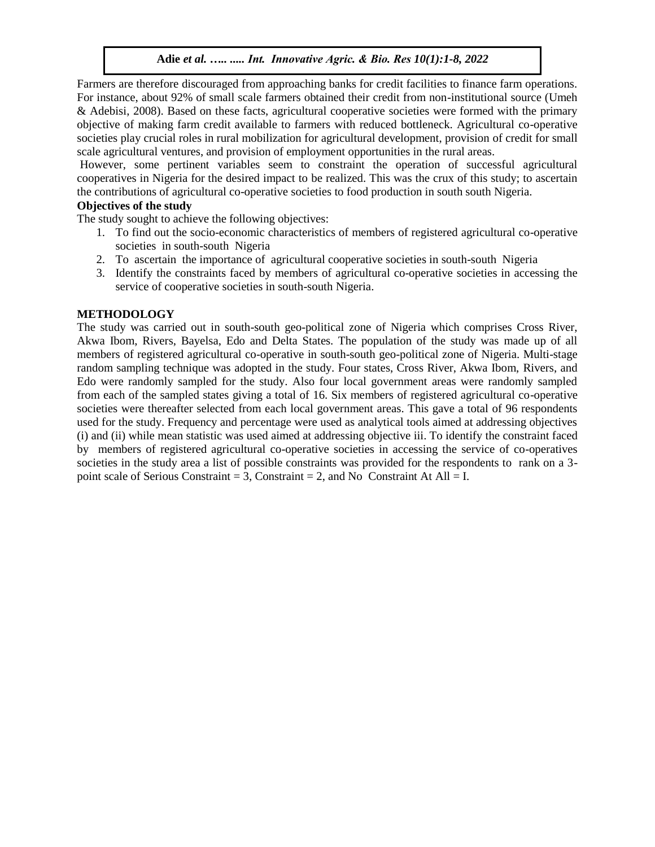Farmers are therefore discouraged from approaching banks for credit facilities to finance farm operations. For instance, about 92% of small scale farmers obtained their credit from non-institutional source (Umeh & Adebisi, 2008). Based on these facts, agricultural cooperative societies were formed with the primary objective of making farm credit available to farmers with reduced bottleneck. Agricultural co-operative societies play crucial roles in rural mobilization for agricultural development, provision of credit for small scale agricultural ventures, and provision of employment opportunities in the rural areas.

However, some pertinent variables seem to constraint the operation of successful agricultural cooperatives in Nigeria for the desired impact to be realized. This was the crux of this study; to ascertain the contributions of agricultural co-operative societies to food production in south south Nigeria.

### **Objectives of the study**

The study sought to achieve the following objectives:

- 1. To find out the socio-economic characteristics of members of registered agricultural co-operative societies in south-south Nigeria
- 2. To ascertain the importance of agricultural cooperative societies in south-south Nigeria
- 3. Identify the constraints faced by members of agricultural co-operative societies in accessing the service of cooperative societies in south-south Nigeria.

### **METHODOLOGY**

The study was carried out in south-south geo-political zone of Nigeria which comprises Cross River, Akwa Ibom, Rivers, Bayelsa, Edo and Delta States. The population of the study was made up of all members of registered agricultural co-operative in south-south geo-political zone of Nigeria. Multi-stage random sampling technique was adopted in the study. Four states, Cross River, Akwa Ibom, Rivers, and Edo were randomly sampled for the study. Also four local government areas were randomly sampled from each of the sampled states giving a total of 16. Six members of registered agricultural co-operative societies were thereafter selected from each local government areas. This gave a total of 96 respondents used for the study. Frequency and percentage were used as analytical tools aimed at addressing objectives (i) and (ii) while mean statistic was used aimed at addressing objective iii. To identify the constraint faced by members of registered agricultural co-operative societies in accessing the service of co-operatives societies in the study area a list of possible constraints was provided for the respondents to rank on a 3point scale of Serious Constraint = 3, Constraint = 2, and No Constraint At All = I.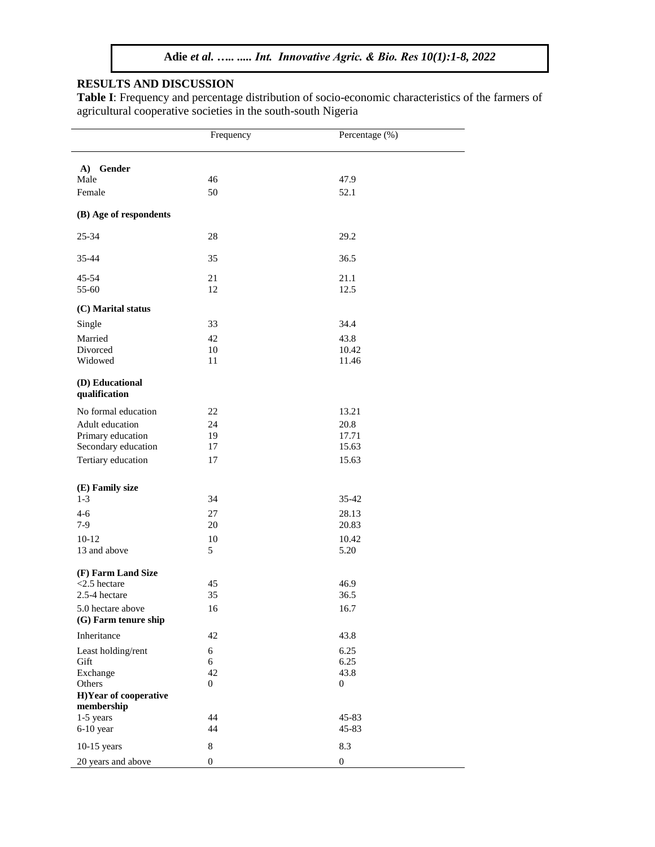# **RESULTS AND DISCUSSION**

**Table I**: Frequency and percentage distribution of socio-economic characteristics of the farmers of agricultural cooperative societies in the south-south Nigeria

|                                           | Frequency        | Percentage (%)   |  |
|-------------------------------------------|------------------|------------------|--|
| A) Gender                                 |                  |                  |  |
| Male                                      | 46               | 47.9             |  |
| Female                                    | 50               | 52.1             |  |
| (B) Age of respondents                    |                  |                  |  |
| 25-34                                     | 28               | 29.2             |  |
| 35-44                                     | 35               | 36.5             |  |
| 45-54                                     | 21               | 21.1             |  |
| 55-60                                     | 12               | 12.5             |  |
| (C) Marital status                        |                  |                  |  |
| Single                                    | 33               | 34.4             |  |
| Married                                   | 42               | 43.8             |  |
| Divorced                                  | 10               | 10.42            |  |
| Widowed                                   | 11               | 11.46            |  |
| (D) Educational<br>qualification          |                  |                  |  |
| No formal education                       | 22               | 13.21            |  |
| Adult education                           | 24               | 20.8             |  |
| Primary education                         | 19               | 17.71            |  |
| Secondary education                       | 17               | 15.63            |  |
| Tertiary education                        | 17               | 15.63            |  |
| (E) Family size                           |                  |                  |  |
| $1-3$                                     | 34               | 35-42            |  |
| $4 - 6$                                   | 27               | 28.13            |  |
| $7-9$                                     | 20               | 20.83            |  |
| $10-12$                                   | 10               | 10.42            |  |
| 13 and above                              | 5                | 5.20             |  |
| (F) Farm Land Size                        |                  |                  |  |
| $<$ 2.5 hectare                           | 45               | 46.9             |  |
| 2.5-4 hectare                             | 35               | 36.5             |  |
| 5.0 hectare above<br>(G) Farm tenure ship | 16               | 16.7             |  |
| Inheritance                               | 42               | 43.8             |  |
| Least holding/rent                        | 6                | 6.25             |  |
| Gift                                      | 6                | 6.25             |  |
| Exchange                                  | 42               | 43.8             |  |
| Others<br>H)Year of cooperative           | $\mathbf{0}$     | $\mathbf{0}$     |  |
| membership<br>1-5 years                   | 44               | 45-83            |  |
| $6-10$ year                               | 44               | 45-83            |  |
| $10-15$ years                             | 8                | 8.3              |  |
| 20 years and above                        | $\boldsymbol{0}$ | $\boldsymbol{0}$ |  |
|                                           |                  |                  |  |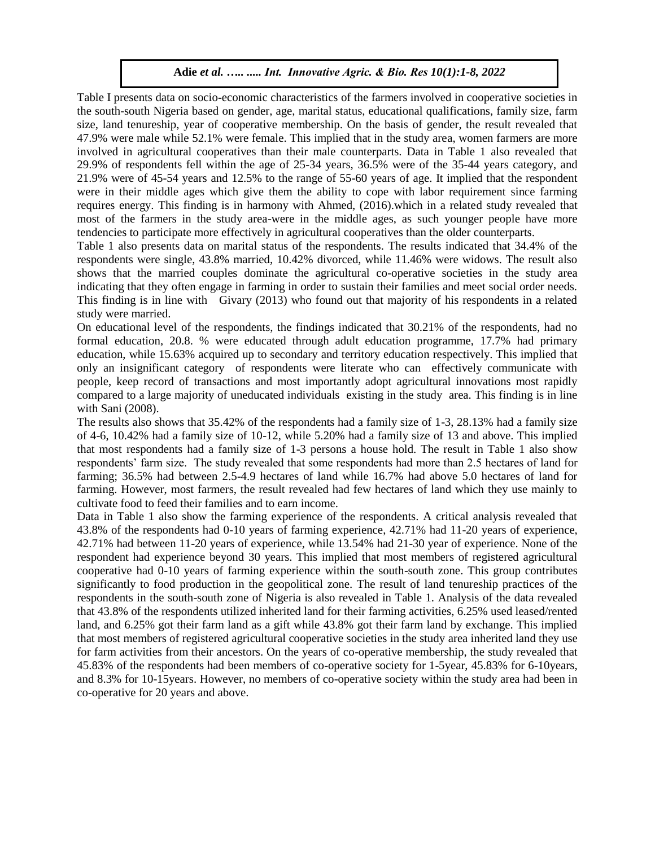Table I presents data on socio-economic characteristics of the farmers involved in cooperative societies in the south-south Nigeria based on gender, age, marital status, educational qualifications, family size, farm size, land tenureship, year of cooperative membership. On the basis of gender, the result revealed that 47.9% were male while 52.1% were female. This implied that in the study area, women farmers are more involved in agricultural cooperatives than their male counterparts. Data in Table 1 also revealed that 29.9% of respondents fell within the age of 25-34 years, 36.5% were of the 35-44 years category, and 21.9% were of 45-54 years and 12.5% to the range of 55-60 years of age. It implied that the respondent were in their middle ages which give them the ability to cope with labor requirement since farming requires energy. This finding is in harmony with Ahmed, (2016).which in a related study revealed that most of the farmers in the study area-were in the middle ages, as such younger people have more tendencies to participate more effectively in agricultural cooperatives than the older counterparts.

Table 1 also presents data on marital status of the respondents. The results indicated that 34.4% of the respondents were single, 43.8% married, 10.42% divorced, while 11.46% were widows. The result also shows that the married couples dominate the agricultural co-operative societies in the study area indicating that they often engage in farming in order to sustain their families and meet social order needs. This finding is in line with Givary (2013) who found out that majority of his respondents in a related study were married.

On educational level of the respondents, the findings indicated that 30.21% of the respondents, had no formal education, 20.8. % were educated through adult education programme, 17.7% had primary education, while 15.63% acquired up to secondary and territory education respectively. This implied that only an insignificant category of respondents were literate who can effectively communicate with people, keep record of transactions and most importantly adopt agricultural innovations most rapidly compared to a large majority of uneducated individuals existing in the study area. This finding is in line with Sani (2008).

The results also shows that 35.42% of the respondents had a family size of 1-3, 28.13% had a family size of 4-6, 10.42% had a family size of 10-12, while 5.20% had a family size of 13 and above. This implied that most respondents had a family size of 1-3 persons a house hold. The result in Table 1 also show respondents' farm size. The study revealed that some respondents had more than 2.5 hectares of land for farming; 36.5% had between 2.5-4.9 hectares of land while 16.7% had above 5.0 hectares of land for farming. However, most farmers, the result revealed had few hectares of land which they use mainly to cultivate food to feed their families and to earn income.

Data in Table 1 also show the farming experience of the respondents. A critical analysis revealed that 43.8% of the respondents had 0-10 years of farming experience, 42.71% had 11-20 years of experience, 42.71% had between 11-20 years of experience, while 13.54% had 21-30 year of experience. None of the respondent had experience beyond 30 years. This implied that most members of registered agricultural cooperative had 0-10 years of farming experience within the south-south zone. This group contributes significantly to food production in the geopolitical zone. The result of land tenureship practices of the respondents in the south-south zone of Nigeria is also revealed in Table 1. Analysis of the data revealed that 43.8% of the respondents utilized inherited land for their farming activities, 6.25% used leased/rented land, and 6.25% got their farm land as a gift while 43.8% got their farm land by exchange. This implied that most members of registered agricultural cooperative societies in the study area inherited land they use for farm activities from their ancestors. On the years of co-operative membership, the study revealed that 45.83% of the respondents had been members of co-operative society for 1-5year, 45.83% for 6-10years, and 8.3% for 10-15years. However, no members of co-operative society within the study area had been in co-operative for 20 years and above.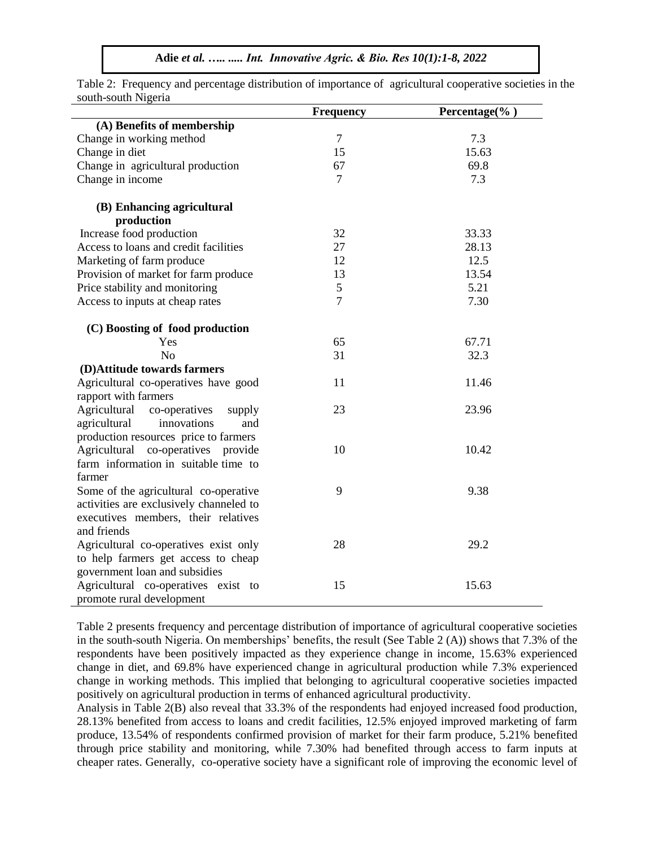|                                         | <b>Frequency</b> | Percentage $(\%$ ) |
|-----------------------------------------|------------------|--------------------|
| (A) Benefits of membership              |                  |                    |
| Change in working method                | $\overline{7}$   | 7.3                |
| Change in diet                          | 15               | 15.63              |
| Change in agricultural production       | 67               | 69.8               |
| Change in income                        | 7                | 7.3                |
| (B) Enhancing agricultural              |                  |                    |
| production                              |                  |                    |
| Increase food production                | 32               | 33.33              |
| Access to loans and credit facilities   | 27               | 28.13              |
| Marketing of farm produce               | 12               | 12.5               |
| Provision of market for farm produce    | 13               | 13.54              |
| Price stability and monitoring          | $\sqrt{5}$       | 5.21               |
| Access to inputs at cheap rates         | $\overline{7}$   | 7.30               |
| (C) Boosting of food production         |                  |                    |
| Yes                                     | 65               | 67.71              |
| N <sub>o</sub>                          | 31               | 32.3               |
| (D)Attitude towards farmers             |                  |                    |
| Agricultural co-operatives have good    | 11               | 11.46              |
| rapport with farmers                    |                  |                    |
| Agricultural<br>co-operatives<br>supply | 23               | 23.96              |
| agricultural<br>innovations<br>and      |                  |                    |
| production resources price to farmers   |                  |                    |
| Agricultural co-operatives provide      | 10               | 10.42              |
| farm information in suitable time to    |                  |                    |
| farmer                                  |                  |                    |
| Some of the agricultural co-operative   | 9                | 9.38               |
| activities are exclusively channeled to |                  |                    |
| executives members, their relatives     |                  |                    |
| and friends                             |                  |                    |
| Agricultural co-operatives exist only   | 28               | 29.2               |
| to help farmers get access to cheap     |                  |                    |
| government loan and subsidies           |                  |                    |
| Agricultural co-operatives exist to     | 15               | 15.63              |
| promote rural development               |                  |                    |

Table 2: Frequency and percentage distribution of importance of agricultural cooperative societies in the south-south Nigeria

Table 2 presents frequency and percentage distribution of importance of agricultural cooperative societies in the south-south Nigeria. On memberships' benefits, the result (See Table 2 (A)) shows that 7.3% of the respondents have been positively impacted as they experience change in income, 15.63% experienced change in diet, and 69.8% have experienced change in agricultural production while 7.3% experienced change in working methods. This implied that belonging to agricultural cooperative societies impacted positively on agricultural production in terms of enhanced agricultural productivity.

Analysis in Table 2(B) also reveal that 33.3% of the respondents had enjoyed increased food production, 28.13% benefited from access to loans and credit facilities, 12.5% enjoyed improved marketing of farm produce, 13.54% of respondents confirmed provision of market for their farm produce, 5.21% benefited through price stability and monitoring, while 7.30% had benefited through access to farm inputs at cheaper rates. Generally, co-operative society have a significant role of improving the economic level of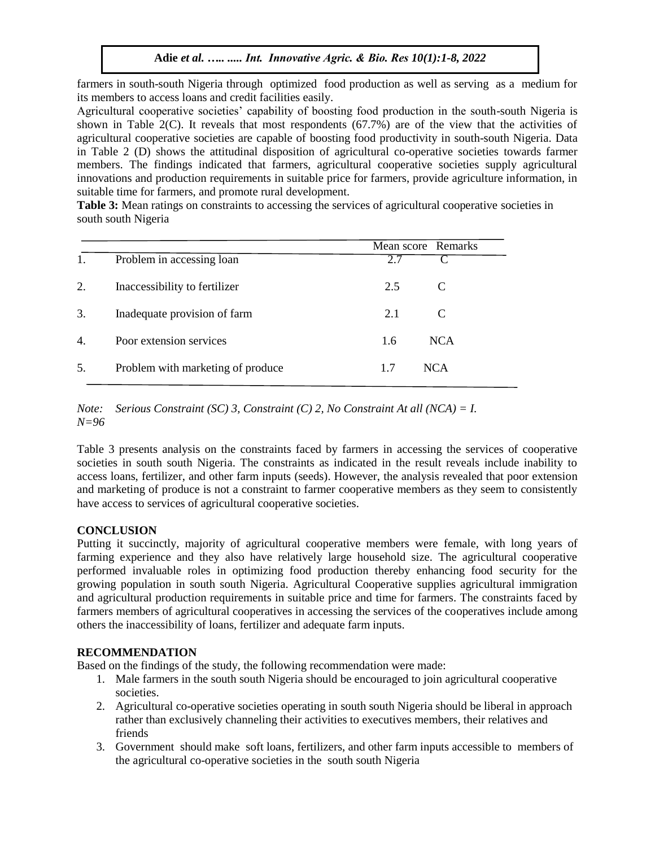farmers in south-south Nigeria through optimized food production as well as serving as a medium for its members to access loans and credit facilities easily.

Agricultural cooperative societies' capability of boosting food production in the south-south Nigeria is shown in Table 2(C). It reveals that most respondents (67.7%) are of the view that the activities of agricultural cooperative societies are capable of boosting food productivity in south-south Nigeria. Data in Table 2 (D) shows the attitudinal disposition of agricultural co-operative societies towards farmer members. The findings indicated that farmers, agricultural cooperative societies supply agricultural innovations and production requirements in suitable price for farmers, provide agriculture information, in suitable time for farmers, and promote rural development.

**Table 3:** Mean ratings on constraints to accessing the services of agricultural cooperative societies in south south Nigeria

|    |                                   |     | Mean score Remarks |
|----|-----------------------------------|-----|--------------------|
| 1. | Problem in accessing loan         | 2.7 |                    |
| 2. | Inaccessibility to fertilizer     | 2.5 | C                  |
| 3. | Inadequate provision of farm      | 2.1 | C                  |
| 4. | Poor extension services           | 1.6 | <b>NCA</b>         |
| 5. | Problem with marketing of produce | 1.7 | <b>NCA</b>         |

*Note: Serious Constraint (SC) 3, Constraint (C) 2, No Constraint At all (NCA) = I. N=96*

Table 3 presents analysis on the constraints faced by farmers in accessing the services of cooperative societies in south south Nigeria. The constraints as indicated in the result reveals include inability to access loans, fertilizer, and other farm inputs (seeds). However, the analysis revealed that poor extension and marketing of produce is not a constraint to farmer cooperative members as they seem to consistently have access to services of agricultural cooperative societies.

### **CONCLUSION**

Putting it succinctly, majority of agricultural cooperative members were female, with long years of farming experience and they also have relatively large household size. The agricultural cooperative performed invaluable roles in optimizing food production thereby enhancing food security for the growing population in south south Nigeria. Agricultural Cooperative supplies agricultural immigration and agricultural production requirements in suitable price and time for farmers. The constraints faced by farmers members of agricultural cooperatives in accessing the services of the cooperatives include among others the inaccessibility of loans, fertilizer and adequate farm inputs.

### **RECOMMENDATION**

Based on the findings of the study, the following recommendation were made:

- 1. Male farmers in the south south Nigeria should be encouraged to join agricultural cooperative societies.
- 2. Agricultural co-operative societies operating in south south Nigeria should be liberal in approach rather than exclusively channeling their activities to executives members, their relatives and friends
- 3. Government should make soft loans, fertilizers, and other farm inputs accessible to members of the agricultural co-operative societies in the south south Nigeria